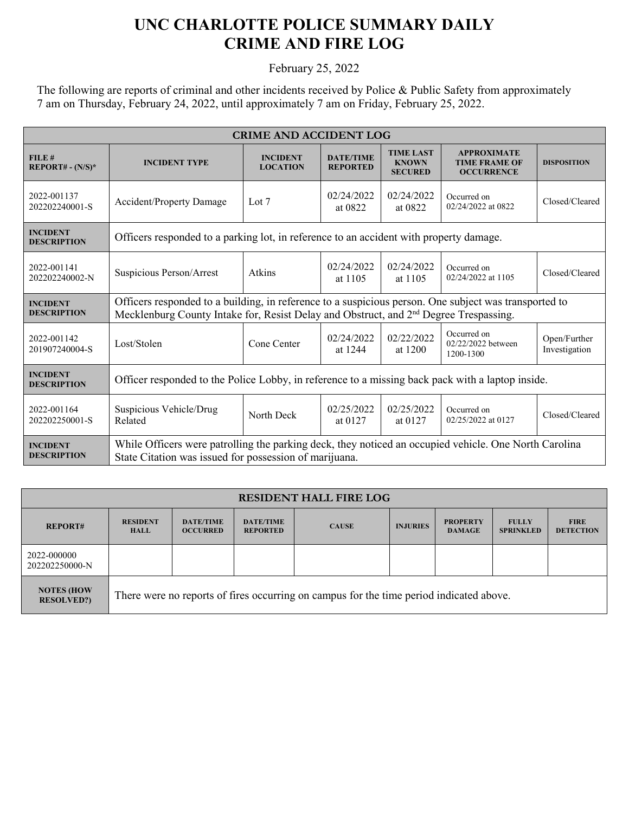## **UNC CHARLOTTE POLICE SUMMARY DAILY CRIME AND FIRE LOG**

February 25, 2022

The following are reports of criminal and other incidents received by Police & Public Safety from approximately 7 am on Thursday, February 24, 2022, until approximately 7 am on Friday, February 25, 2022.

| <b>CRIME AND ACCIDENT LOG</b>         |                                                                                                                                                                                                            |                                    |                                     |                                                    |                                                                 |                               |  |
|---------------------------------------|------------------------------------------------------------------------------------------------------------------------------------------------------------------------------------------------------------|------------------------------------|-------------------------------------|----------------------------------------------------|-----------------------------------------------------------------|-------------------------------|--|
| FILE#<br>$REPORT# - (N/S)*$           | <b>INCIDENT TYPE</b>                                                                                                                                                                                       | <b>INCIDENT</b><br><b>LOCATION</b> | <b>DATE/TIME</b><br><b>REPORTED</b> | <b>TIME LAST</b><br><b>KNOWN</b><br><b>SECURED</b> | <b>APPROXIMATE</b><br><b>TIME FRAME OF</b><br><b>OCCURRENCE</b> | <b>DISPOSITION</b>            |  |
| 2022-001137<br>202202240001-S         | Accident/Property Damage                                                                                                                                                                                   | Lot $7$                            | 02/24/2022<br>at 0822               | 02/24/2022<br>at 0822                              | Occurred on<br>02/24/2022 at 0822                               | Closed/Cleared                |  |
| <b>INCIDENT</b><br><b>DESCRIPTION</b> | Officers responded to a parking lot, in reference to an accident with property damage.                                                                                                                     |                                    |                                     |                                                    |                                                                 |                               |  |
| 2022-001141<br>202202240002-N         | Suspicious Person/Arrest                                                                                                                                                                                   | Atkins                             | 02/24/2022<br>at 1105               | 02/24/2022<br>at 1105                              | Occurred on<br>02/24/2022 at 1105                               | Closed/Cleared                |  |
| <b>INCIDENT</b><br><b>DESCRIPTION</b> | Officers responded to a building, in reference to a suspicious person. One subject was transported to<br>Mecklenburg County Intake for, Resist Delay and Obstruct, and 2 <sup>nd</sup> Degree Trespassing. |                                    |                                     |                                                    |                                                                 |                               |  |
| 2022-001142<br>201907240004-S         | Lost/Stolen                                                                                                                                                                                                | Cone Center                        | 02/24/2022<br>at 1244               | 02/22/2022<br>at 1200                              | Occurred on<br>02/22/2022 between<br>1200-1300                  | Open/Further<br>Investigation |  |
| <b>INCIDENT</b><br><b>DESCRIPTION</b> | Officer responded to the Police Lobby, in reference to a missing back pack with a laptop inside.                                                                                                           |                                    |                                     |                                                    |                                                                 |                               |  |
| 2022-001164<br>202202250001-S         | Suspicious Vehicle/Drug<br>Related                                                                                                                                                                         | North Deck                         | 02/25/2022<br>at 0127               | 02/25/2022<br>at 0127                              | Occurred on<br>02/25/2022 at 0127                               | Closed/Cleared                |  |
| <b>INCIDENT</b><br><b>DESCRIPTION</b> | While Officers were patrolling the parking deck, they noticed an occupied vehicle. One North Carolina<br>State Citation was issued for possession of marijuana.                                            |                                    |                                     |                                                    |                                                                 |                               |  |

| <b>RESIDENT HALL FIRE LOG</b>          |                                                                                         |                                     |                                     |              |                 |                                  |                                  |                                 |
|----------------------------------------|-----------------------------------------------------------------------------------------|-------------------------------------|-------------------------------------|--------------|-----------------|----------------------------------|----------------------------------|---------------------------------|
| <b>REPORT#</b>                         | <b>RESIDENT</b><br><b>HALL</b>                                                          | <b>DATE/TIME</b><br><b>OCCURRED</b> | <b>DATE/TIME</b><br><b>REPORTED</b> | <b>CAUSE</b> | <b>INJURIES</b> | <b>PROPERTY</b><br><b>DAMAGE</b> | <b>FULLY</b><br><b>SPRINKLED</b> | <b>FIRE</b><br><b>DETECTION</b> |
| 2022-000000<br>202202250000-N          |                                                                                         |                                     |                                     |              |                 |                                  |                                  |                                 |
| <b>NOTES (HOW</b><br><b>RESOLVED?)</b> | There were no reports of fires occurring on campus for the time period indicated above. |                                     |                                     |              |                 |                                  |                                  |                                 |